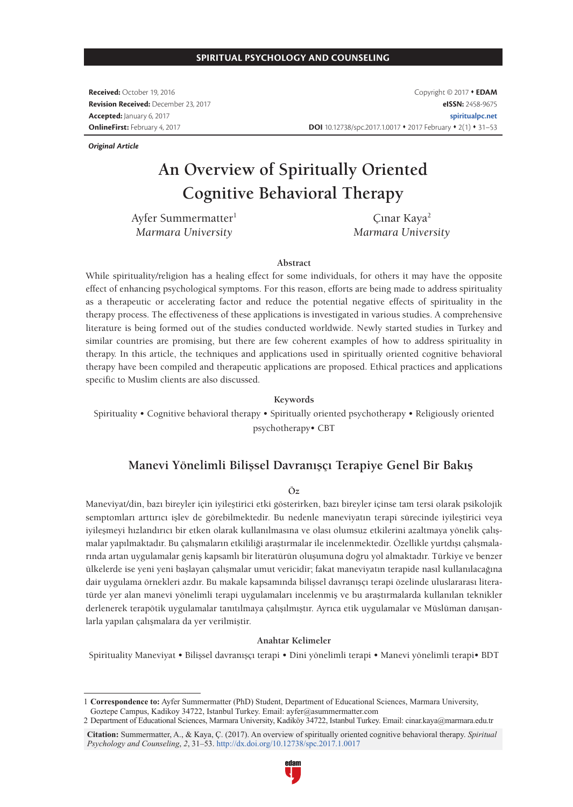### **SPIRITUAL PSYCHOLOGY AND COUNSELING**

**Received:** October 19, 2016 **Revision Received:** December 23, 2017 **Accepted:** January 6, 2017 **OnlineFirst:** February 4, 2017

*Original Article*

Copyright © 2017 **EDAM eISSN:** 2458-9675 **spiritualpc.net** DOI 10.12738/spc.2017.1.0017 • 2017 February • 2(1) • 31-53

# **An Overview of Spiritually Oriented Cognitive Behavioral Therapy**

Ayfer Summermatter1 *Marmara University*

Çınar Kaya<sup>2</sup> *Marmara University*

#### **Abstract**

While spirituality/religion has a healing effect for some individuals, for others it may have the opposite effect of enhancing psychological symptoms. For this reason, efforts are being made to address spirituality as a therapeutic or accelerating factor and reduce the potential negative effects of spirituality in the therapy process. The effectiveness of these applications is investigated in various studies. A comprehensive literature is being formed out of the studies conducted worldwide. Newly started studies in Turkey and similar countries are promising, but there are few coherent examples of how to address spirituality in therapy. In this article, the techniques and applications used in spiritually oriented cognitive behavioral therapy have been compiled and therapeutic applications are proposed. Ethical practices and applications specific to Muslim clients are also discussed.

**Keywords**

Spirituality • Cognitive behavioral therapy • Spiritually oriented psychotherapy • Religiously oriented psychotherapy• CBT

### **Manevi Yönelimli Bilişsel Davranışçı Terapiye Genel Bir Bakış**

#### **Öz**

Maneviyat/din, bazı bireyler için iyileştirici etki gösterirken, bazı bireyler içinse tam tersi olarak psikolojik semptomları arttırıcı işlev de görebilmektedir. Bu nedenle maneviyatın terapi sürecinde iyileştirici veya iyileşmeyi hızlandırıcı bir etken olarak kullanılmasına ve olası olumsuz etkilerini azaltmaya yönelik çalışmalar yapılmaktadır. Bu çalışmaların etkililiği araştırmalar ile incelenmektedir. Özellikle yurtdışı çalışmalarında artan uygulamalar geniş kapsamlı bir literatürün oluşumuna doğru yol almaktadır. Türkiye ve benzer ülkelerde ise yeni yeni başlayan çalışmalar umut vericidir; fakat maneviyatın terapide nasıl kullanılacağına dair uygulama örnekleri azdır. Bu makale kapsamında bilişsel davranışçı terapi özelinde uluslararası literatürde yer alan manevi yönelimli terapi uygulamaları incelenmiş ve bu araştırmalarda kullanılan teknikler derlenerek terapötik uygulamalar tanıtılmaya çalışılmıştır. Ayrıca etik uygulamalar ve Müslüman danışanlarla yapılan çalışmalara da yer verilmiştir.

### **Anahtar Kelimeler**

Spirituality Maneviyat • Bilişsel davranışçı terapi • Dini yönelimli terapi • Manevi yönelimli terapi• BDT

**Citation:** Summermatter, A., & Kaya, Ç. (2017). An overview of spiritually oriented cognitive behavioral therapy. *Spiritual Psychology and Counseling*, *2*, 31–53. http://dx.doi.org/10.12738/spc.2017.1.0017



<sup>1</sup> **Correspondence to:** Ayfer Summermatter (PhD) Student, Department of Educational Sciences, Marmara University, Goztepe Campus, Kadikoy 34722, Istanbul Turkey. Email: ayfer@asummermatter.com

<sup>2</sup> Department of Educational Sciences, Marmara University, Kadiköy 34722, Istanbul Turkey. Email: cinar.kaya@marmara.edu.tr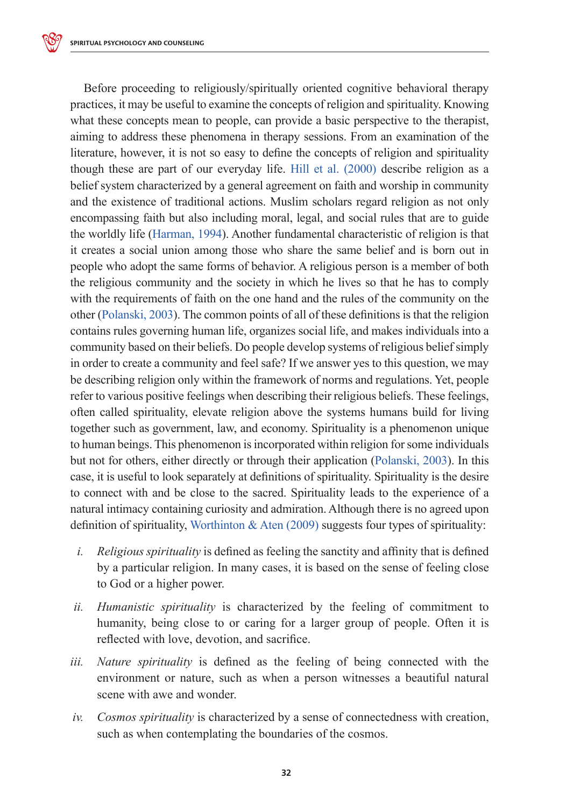Before proceeding to religiously/spiritually oriented cognitive behavioral therapy practices, it may be useful to examine the concepts of religion and spirituality. Knowing what these concepts mean to people, can provide a basic perspective to the therapist, aiming to address these phenomena in therapy sessions. From an examination of the literature, however, it is not so easy to define the concepts of religion and spirituality though these are part of our everyday life. Hill et al. (2000) describe religion as a belief system characterized by a general agreement on faith and worship in community and the existence of traditional actions. Muslim scholars regard religion as not only encompassing faith but also including moral, legal, and social rules that are to guide the worldly life (Harman, 1994). Another fundamental characteristic of religion is that it creates a social union among those who share the same belief and is born out in people who adopt the same forms of behavior. A religious person is a member of both the religious community and the society in which he lives so that he has to comply with the requirements of faith on the one hand and the rules of the community on the other (Polanski, 2003). The common points of all of these definitions is that the religion contains rules governing human life, organizes social life, and makes individuals into a community based on their beliefs. Do people develop systems of religious belief simply in order to create a community and feel safe? If we answer yes to this question, we may be describing religion only within the framework of norms and regulations. Yet, people refer to various positive feelings when describing their religious beliefs. These feelings, often called spirituality, elevate religion above the systems humans build for living together such as government, law, and economy. Spirituality is a phenomenon unique to human beings. This phenomenon is incorporated within religion for some individuals but not for others, either directly or through their application (Polanski, 2003). In this case, it is useful to look separately at definitions of spirituality. Spirituality is the desire to connect with and be close to the sacred. Spirituality leads to the experience of a natural intimacy containing curiosity and admiration. Although there is no agreed upon definition of spirituality, Worthinton & Aten  $(2009)$  suggests four types of spirituality:

- *i. Religious spirituality* is defined as feeling the sanctity and affinity that is defined by a particular religion. In many cases, it is based on the sense of feeling close to God or a higher power.
- *ii. Humanistic spirituality* is characterized by the feeling of commitment to humanity, being close to or caring for a larger group of people. Often it is reflected with love, devotion, and sacrifice.
- *iii. Nature spirituality* is defined as the feeling of being connected with the environment or nature, such as when a person witnesses a beautiful natural scene with awe and wonder.
- *iv. Cosmos spirituality* is characterized by a sense of connectedness with creation, such as when contemplating the boundaries of the cosmos.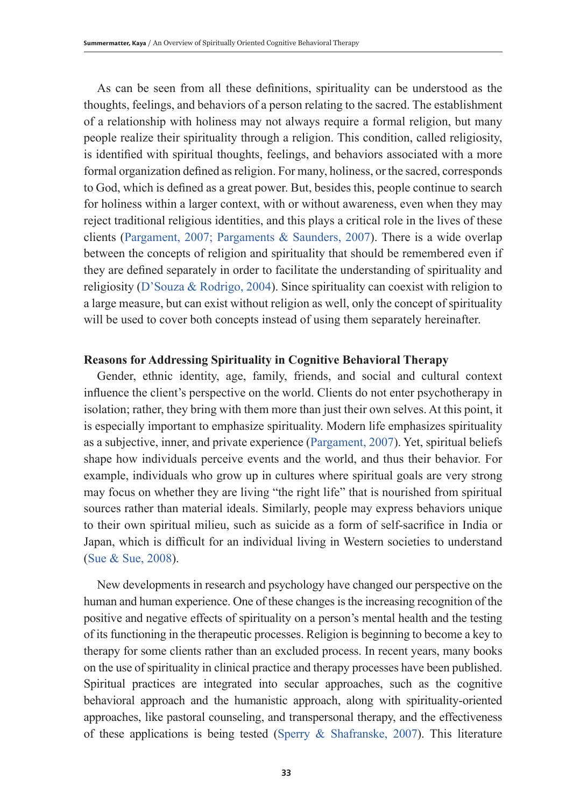As can be seen from all these definitions, spirituality can be understood as the thoughts, feelings, and behaviors of a person relating to the sacred. The establishment of a relationship with holiness may not always require a formal religion, but many people realize their spirituality through a religion. This condition, called religiosity, is identified with spiritual thoughts, feelings, and behaviors associated with a more formal organization defined as religion. For many, holiness, or the sacred, corresponds to God, which is defined as a great power. But, besides this, people continue to search for holiness within a larger context, with or without awareness, even when they may reject traditional religious identities, and this plays a critical role in the lives of these clients (Pargament, 2007; Pargaments & Saunders, 2007). There is a wide overlap between the concepts of religion and spirituality that should be remembered even if they are defined separately in order to facilitate the understanding of spirituality and religiosity (D'Souza & Rodrigo, 2004). Since spirituality can coexist with religion to a large measure, but can exist without religion as well, only the concept of spirituality will be used to cover both concepts instead of using them separately hereinafter.

## **Reasons for Addressing Spirituality in Cognitive Behavioral Therapy**

Gender, ethnic identity, age, family, friends, and social and cultural context influence the client's perspective on the world. Clients do not enter psychotherapy in isolation; rather, they bring with them more than just their own selves. At this point, it is especially important to emphasize spirituality. Modern life emphasizes spirituality as a subjective, inner, and private experience (Pargament, 2007). Yet, spiritual beliefs shape how individuals perceive events and the world, and thus their behavior. For example, individuals who grow up in cultures where spiritual goals are very strong may focus on whether they are living "the right life" that is nourished from spiritual sources rather than material ideals. Similarly, people may express behaviors unique to their own spiritual milieu, such as suicide as a form of self-sacrifice in India or Japan, which is difficult for an individual living in Western societies to understand (Sue & Sue, 2008).

New developments in research and psychology have changed our perspective on the human and human experience. One of these changes is the increasing recognition of the positive and negative effects of spirituality on a person's mental health and the testing of its functioning in the therapeutic processes. Religion is beginning to become a key to therapy for some clients rather than an excluded process. In recent years, many books on the use of spirituality in clinical practice and therapy processes have been published. Spiritual practices are integrated into secular approaches, such as the cognitive behavioral approach and the humanistic approach, along with spirituality-oriented approaches, like pastoral counseling, and transpersonal therapy, and the effectiveness of these applications is being tested (Sperry & Shafranske, 2007). This literature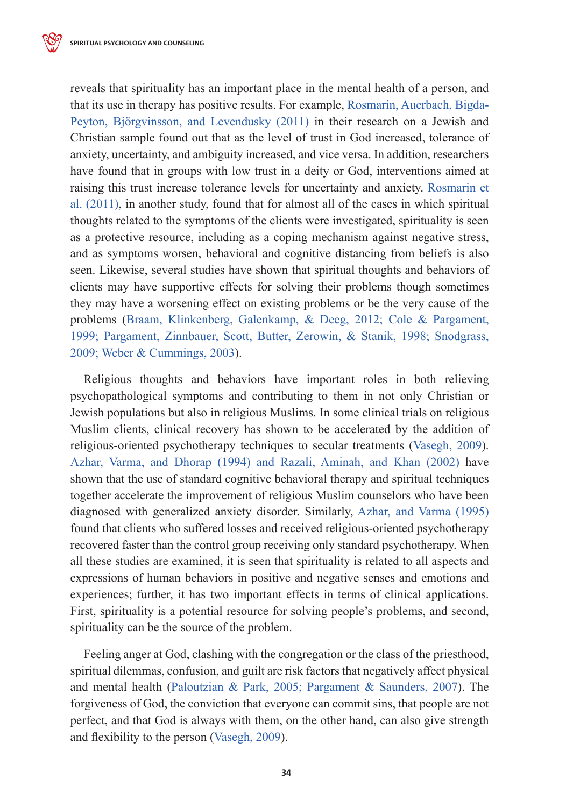reveals that spirituality has an important place in the mental health of a person, and that its use in therapy has positive results. For example, Rosmarin, Auerbach, Bigda-Peyton, Björgvinsson, and Levendusky (2011) in their research on a Jewish and Christian sample found out that as the level of trust in God increased, tolerance of anxiety, uncertainty, and ambiguity increased, and vice versa. In addition, researchers have found that in groups with low trust in a deity or God, interventions aimed at raising this trust increase tolerance levels for uncertainty and anxiety. Rosmarin et al. (2011), in another study, found that for almost all of the cases in which spiritual thoughts related to the symptoms of the clients were investigated, spirituality is seen as a protective resource, including as a coping mechanism against negative stress, and as symptoms worsen, behavioral and cognitive distancing from beliefs is also seen. Likewise, several studies have shown that spiritual thoughts and behaviors of clients may have supportive effects for solving their problems though sometimes they may have a worsening effect on existing problems or be the very cause of the problems (Braam, Klinkenberg, Galenkamp, & Deeg, 2012; Cole & Pargament, 1999; Pargament, Zinnbauer, Scott, Butter, Zerowin, & Stanik, 1998; Snodgrass, 2009; Weber & Cummings, 2003).

Religious thoughts and behaviors have important roles in both relieving psychopathological symptoms and contributing to them in not only Christian or Jewish populations but also in religious Muslims. In some clinical trials on religious Muslim clients, clinical recovery has shown to be accelerated by the addition of religious-oriented psychotherapy techniques to secular treatments (Vasegh, 2009). Azhar, Varma, and Dhorap (1994) and Razali, Aminah, and Khan (2002) have shown that the use of standard cognitive behavioral therapy and spiritual techniques together accelerate the improvement of religious Muslim counselors who have been diagnosed with generalized anxiety disorder. Similarly, Azhar, and Varma (1995) found that clients who suffered losses and received religious-oriented psychotherapy recovered faster than the control group receiving only standard psychotherapy. When all these studies are examined, it is seen that spirituality is related to all aspects and expressions of human behaviors in positive and negative senses and emotions and experiences; further, it has two important effects in terms of clinical applications. First, spirituality is a potential resource for solving people's problems, and second, spirituality can be the source of the problem.

Feeling anger at God, clashing with the congregation or the class of the priesthood, spiritual dilemmas, confusion, and guilt are risk factors that negatively affect physical and mental health (Paloutzian & Park, 2005; Pargament & Saunders, 2007). The forgiveness of God, the conviction that everyone can commit sins, that people are not perfect, and that God is always with them, on the other hand, can also give strength and flexibility to the person (Vasegh, 2009).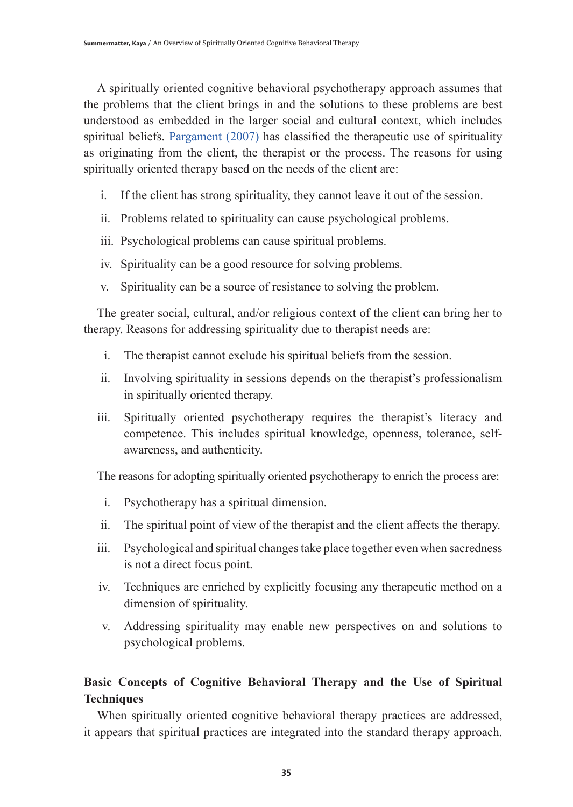A spiritually oriented cognitive behavioral psychotherapy approach assumes that the problems that the client brings in and the solutions to these problems are best understood as embedded in the larger social and cultural context, which includes spiritual beliefs. Pargament (2007) has classified the therapeutic use of spirituality as originating from the client, the therapist or the process. The reasons for using spiritually oriented therapy based on the needs of the client are:

- i. If the client has strong spirituality, they cannot leave it out of the session.
- ii. Problems related to spirituality can cause psychological problems.
- iii. Psychological problems can cause spiritual problems.
- iv. Spirituality can be a good resource for solving problems.
- v. Spirituality can be a source of resistance to solving the problem.

The greater social, cultural, and/or religious context of the client can bring her to therapy. Reasons for addressing spirituality due to therapist needs are:

- i. The therapist cannot exclude his spiritual beliefs from the session.
- ii. Involving spirituality in sessions depends on the therapist's professionalism in spiritually oriented therapy.
- iii. Spiritually oriented psychotherapy requires the therapist's literacy and competence. This includes spiritual knowledge, openness, tolerance, selfawareness, and authenticity.

The reasons for adopting spiritually oriented psychotherapy to enrich the process are:

- i. Psychotherapy has a spiritual dimension.
- ii. The spiritual point of view of the therapist and the client affects the therapy.
- iii. Psychological and spiritual changes take place together even when sacredness is not a direct focus point.
- iv. Techniques are enriched by explicitly focusing any therapeutic method on a dimension of spirituality.
- v. Addressing spirituality may enable new perspectives on and solutions to psychological problems.

# **Basic Concepts of Cognitive Behavioral Therapy and the Use of Spiritual Techniques**

When spiritually oriented cognitive behavioral therapy practices are addressed, it appears that spiritual practices are integrated into the standard therapy approach.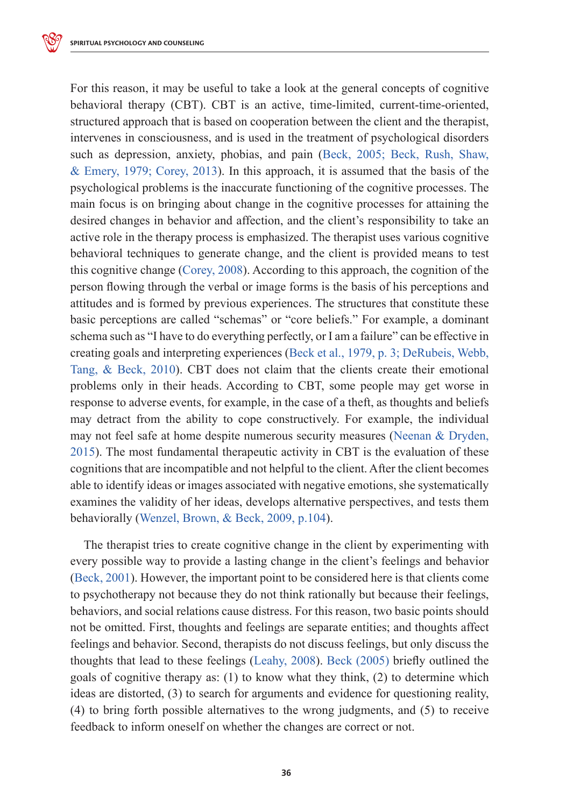For this reason, it may be useful to take a look at the general concepts of cognitive behavioral therapy (CBT). CBT is an active, time-limited, current-time-oriented, structured approach that is based on cooperation between the client and the therapist, intervenes in consciousness, and is used in the treatment of psychological disorders such as depression, anxiety, phobias, and pain (Beck, 2005; Beck, Rush, Shaw, & Emery, 1979; Corey, 2013). In this approach, it is assumed that the basis of the psychological problems is the inaccurate functioning of the cognitive processes. The main focus is on bringing about change in the cognitive processes for attaining the desired changes in behavior and affection, and the client's responsibility to take an active role in the therapy process is emphasized. The therapist uses various cognitive behavioral techniques to generate change, and the client is provided means to test this cognitive change (Corey, 2008). According to this approach, the cognition of the person flowing through the verbal or image forms is the basis of his perceptions and attitudes and is formed by previous experiences. The structures that constitute these basic perceptions are called "schemas" or "core beliefs." For example, a dominant schema such as "I have to do everything perfectly, or I am a failure" can be effective in creating goals and interpreting experiences (Beck et al., 1979, p. 3; DeRubeis, Webb, Tang, & Beck, 2010). CBT does not claim that the clients create their emotional problems only in their heads. According to CBT, some people may get worse in response to adverse events, for example, in the case of a theft, as thoughts and beliefs may detract from the ability to cope constructively. For example, the individual may not feel safe at home despite numerous security measures (Neenan & Dryden, 2015). The most fundamental therapeutic activity in CBT is the evaluation of these cognitions that are incompatible and not helpful to the client. After the client becomes able to identify ideas or images associated with negative emotions, she systematically examines the validity of her ideas, develops alternative perspectives, and tests them behaviorally (Wenzel, Brown, & Beck, 2009, p.104).

The therapist tries to create cognitive change in the client by experimenting with every possible way to provide a lasting change in the client's feelings and behavior (Beck, 2001). However, the important point to be considered here is that clients come to psychotherapy not because they do not think rationally but because their feelings, behaviors, and social relations cause distress. For this reason, two basic points should not be omitted. First, thoughts and feelings are separate entities; and thoughts affect feelings and behavior. Second, therapists do not discuss feelings, but only discuss the thoughts that lead to these feelings (Leahy, 2008). Beck (2005) briefly outlined the goals of cognitive therapy as: (1) to know what they think, (2) to determine which ideas are distorted, (3) to search for arguments and evidence for questioning reality, (4) to bring forth possible alternatives to the wrong judgments, and (5) to receive feedback to inform oneself on whether the changes are correct or not.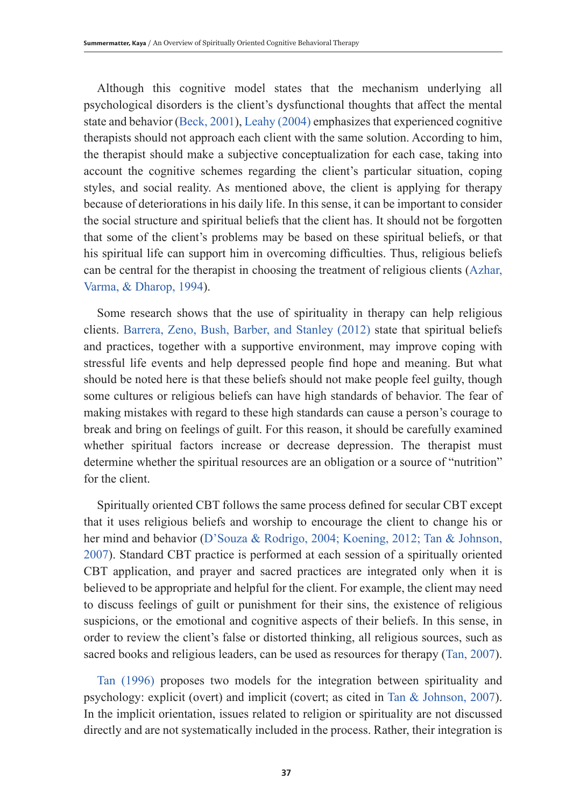Although this cognitive model states that the mechanism underlying all psychological disorders is the client's dysfunctional thoughts that affect the mental state and behavior (Beck, 2001), Leahy (2004) emphasizes that experienced cognitive therapists should not approach each client with the same solution. According to him, the therapist should make a subjective conceptualization for each case, taking into account the cognitive schemes regarding the client's particular situation, coping styles, and social reality. As mentioned above, the client is applying for therapy because of deteriorations in his daily life. In this sense, it can be important to consider the social structure and spiritual beliefs that the client has. It should not be forgotten that some of the client's problems may be based on these spiritual beliefs, or that his spiritual life can support him in overcoming difficulties. Thus, religious beliefs can be central for the therapist in choosing the treatment of religious clients (Azhar, Varma, & Dharop, 1994).

Some research shows that the use of spirituality in therapy can help religious clients. Barrera, Zeno, Bush, Barber, and Stanley (2012) state that spiritual beliefs and practices, together with a supportive environment, may improve coping with stressful life events and help depressed people find hope and meaning. But what should be noted here is that these beliefs should not make people feel guilty, though some cultures or religious beliefs can have high standards of behavior. The fear of making mistakes with regard to these high standards can cause a person's courage to break and bring on feelings of guilt. For this reason, it should be carefully examined whether spiritual factors increase or decrease depression. The therapist must determine whether the spiritual resources are an obligation or a source of "nutrition" for the client.

Spiritually oriented CBT follows the same process defined for secular CBT except that it uses religious beliefs and worship to encourage the client to change his or her mind and behavior (D'Souza & Rodrigo, 2004; Koening, 2012; Tan & Johnson, 2007). Standard CBT practice is performed at each session of a spiritually oriented CBT application, and prayer and sacred practices are integrated only when it is believed to be appropriate and helpful for the client. For example, the client may need to discuss feelings of guilt or punishment for their sins, the existence of religious suspicions, or the emotional and cognitive aspects of their beliefs. In this sense, in order to review the client's false or distorted thinking, all religious sources, such as sacred books and religious leaders, can be used as resources for therapy (Tan, 2007).

Tan (1996) proposes two models for the integration between spirituality and psychology: explicit (overt) and implicit (covert; as cited in Tan & Johnson, 2007). In the implicit orientation, issues related to religion or spirituality are not discussed directly and are not systematically included in the process. Rather, their integration is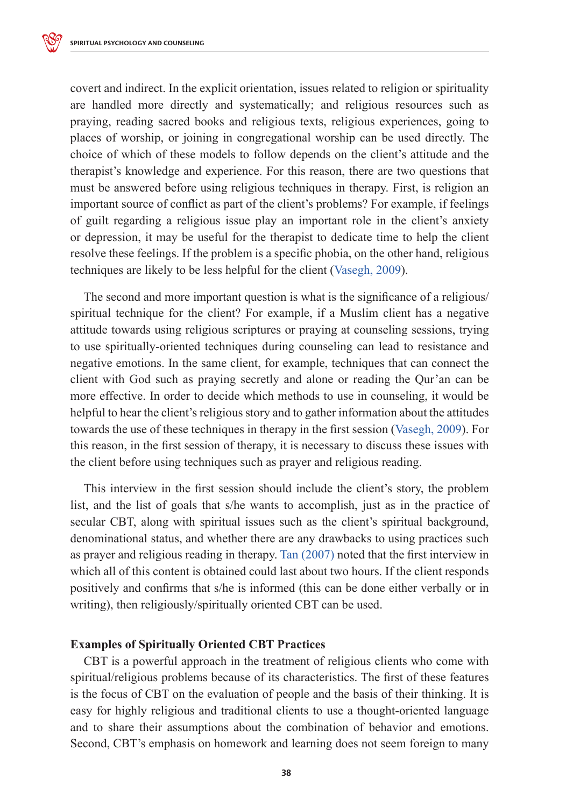covert and indirect. In the explicit orientation, issues related to religion or spirituality are handled more directly and systematically; and religious resources such as praying, reading sacred books and religious texts, religious experiences, going to places of worship, or joining in congregational worship can be used directly. The choice of which of these models to follow depends on the client's attitude and the therapist's knowledge and experience. For this reason, there are two questions that must be answered before using religious techniques in therapy. First, is religion an important source of conflict as part of the client's problems? For example, if feelings of guilt regarding a religious issue play an important role in the client's anxiety or depression, it may be useful for the therapist to dedicate time to help the client resolve these feelings. If the problem is a specific phobia, on the other hand, religious techniques are likely to be less helpful for the client (Vasegh, 2009).

The second and more important question is what is the significance of a religious/ spiritual technique for the client? For example, if a Muslim client has a negative attitude towards using religious scriptures or praying at counseling sessions, trying to use spiritually-oriented techniques during counseling can lead to resistance and negative emotions. In the same client, for example, techniques that can connect the client with God such as praying secretly and alone or reading the Qur'an can be more effective. In order to decide which methods to use in counseling, it would be helpful to hear the client's religious story and to gather information about the attitudes towards the use of these techniques in therapy in the first session (Vasegh, 2009). For this reason, in the first session of therapy, it is necessary to discuss these issues with the client before using techniques such as prayer and religious reading.

This interview in the first session should include the client's story, the problem list, and the list of goals that s/he wants to accomplish, just as in the practice of secular CBT, along with spiritual issues such as the client's spiritual background, denominational status, and whether there are any drawbacks to using practices such as prayer and religious reading in therapy. Tan (2007) noted that the first interview in which all of this content is obtained could last about two hours. If the client responds positively and confirms that s/he is informed (this can be done either verbally or in writing), then religiously/spiritually oriented CBT can be used.

### **Examples of Spiritually Oriented CBT Practices**

CBT is a powerful approach in the treatment of religious clients who come with spiritual/religious problems because of its characteristics. The first of these features is the focus of CBT on the evaluation of people and the basis of their thinking. It is easy for highly religious and traditional clients to use a thought-oriented language and to share their assumptions about the combination of behavior and emotions. Second, CBT's emphasis on homework and learning does not seem foreign to many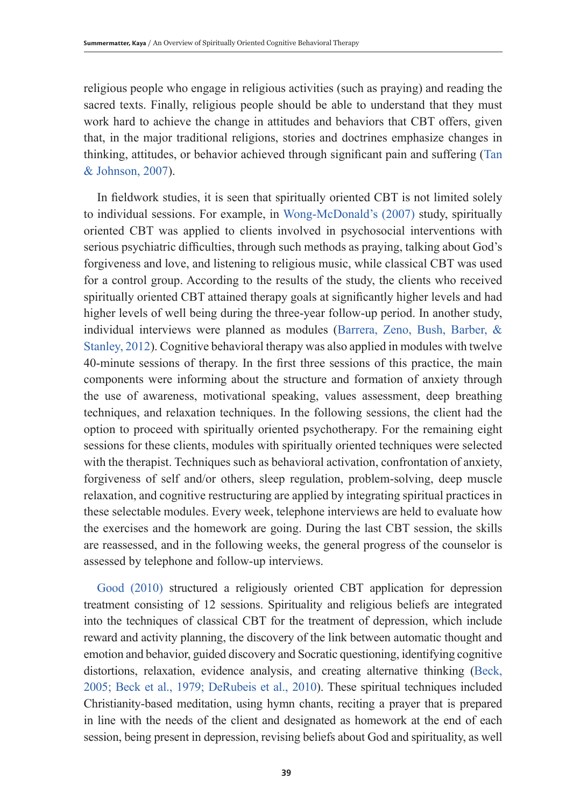religious people who engage in religious activities (such as praying) and reading the sacred texts. Finally, religious people should be able to understand that they must work hard to achieve the change in attitudes and behaviors that CBT offers, given that, in the major traditional religions, stories and doctrines emphasize changes in thinking, attitudes, or behavior achieved through significant pain and suffering (Tan & Johnson, 2007).

In fieldwork studies, it is seen that spiritually oriented CBT is not limited solely to individual sessions. For example, in Wong-McDonald's (2007) study, spiritually oriented CBT was applied to clients involved in psychosocial interventions with serious psychiatric difficulties, through such methods as praying, talking about God's forgiveness and love, and listening to religious music, while classical CBT was used for a control group. According to the results of the study, the clients who received spiritually oriented CBT attained therapy goals at significantly higher levels and had higher levels of well being during the three-year follow-up period. In another study, individual interviews were planned as modules (Barrera, Zeno, Bush, Barber, & Stanley, 2012). Cognitive behavioral therapy was also applied in modules with twelve 40-minute sessions of therapy. In the first three sessions of this practice, the main components were informing about the structure and formation of anxiety through the use of awareness, motivational speaking, values assessment, deep breathing techniques, and relaxation techniques. In the following sessions, the client had the option to proceed with spiritually oriented psychotherapy. For the remaining eight sessions for these clients, modules with spiritually oriented techniques were selected with the therapist. Techniques such as behavioral activation, confrontation of anxiety, forgiveness of self and/or others, sleep regulation, problem-solving, deep muscle relaxation, and cognitive restructuring are applied by integrating spiritual practices in these selectable modules. Every week, telephone interviews are held to evaluate how the exercises and the homework are going. During the last CBT session, the skills are reassessed, and in the following weeks, the general progress of the counselor is assessed by telephone and follow-up interviews.

Good (2010) structured a religiously oriented CBT application for depression treatment consisting of 12 sessions. Spirituality and religious beliefs are integrated into the techniques of classical CBT for the treatment of depression, which include reward and activity planning, the discovery of the link between automatic thought and emotion and behavior, guided discovery and Socratic questioning, identifying cognitive distortions, relaxation, evidence analysis, and creating alternative thinking (Beck, 2005; Beck et al., 1979; DeRubeis et al., 2010). These spiritual techniques included Christianity-based meditation, using hymn chants, reciting a prayer that is prepared in line with the needs of the client and designated as homework at the end of each session, being present in depression, revising beliefs about God and spirituality, as well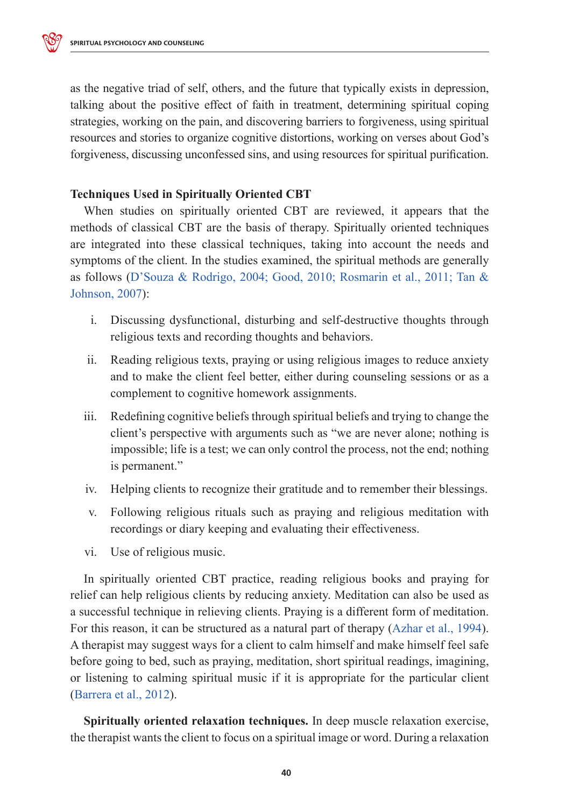as the negative triad of self, others, and the future that typically exists in depression, talking about the positive effect of faith in treatment, determining spiritual coping strategies, working on the pain, and discovering barriers to forgiveness, using spiritual resources and stories to organize cognitive distortions, working on verses about God's forgiveness, discussing unconfessed sins, and using resources for spiritual purification.

# **Techniques Used in Spiritually Oriented CBT**

When studies on spiritually oriented CBT are reviewed, it appears that the methods of classical CBT are the basis of therapy. Spiritually oriented techniques are integrated into these classical techniques, taking into account the needs and symptoms of the client. In the studies examined, the spiritual methods are generally as follows (D'Souza & Rodrigo, 2004; Good, 2010; Rosmarin et al., 2011; Tan & Johnson, 2007):

- i. Discussing dysfunctional, disturbing and self-destructive thoughts through religious texts and recording thoughts and behaviors.
- ii. Reading religious texts, praying or using religious images to reduce anxiety and to make the client feel better, either during counseling sessions or as a complement to cognitive homework assignments.
- iii. Redefining cognitive beliefs through spiritual beliefs and trying to change the client's perspective with arguments such as "we are never alone; nothing is impossible; life is a test; we can only control the process, not the end; nothing is permanent."
- iv. Helping clients to recognize their gratitude and to remember their blessings.
- v. Following religious rituals such as praying and religious meditation with recordings or diary keeping and evaluating their effectiveness.
- vi. Use of religious music.

In spiritually oriented CBT practice, reading religious books and praying for relief can help religious clients by reducing anxiety. Meditation can also be used as a successful technique in relieving clients. Praying is a different form of meditation. For this reason, it can be structured as a natural part of therapy (Azhar et al., 1994). A therapist may suggest ways for a client to calm himself and make himself feel safe before going to bed, such as praying, meditation, short spiritual readings, imagining, or listening to calming spiritual music if it is appropriate for the particular client (Barrera et al., 2012).

**Spiritually oriented relaxation techniques.** In deep muscle relaxation exercise, the therapist wants the client to focus on a spiritual image or word. During a relaxation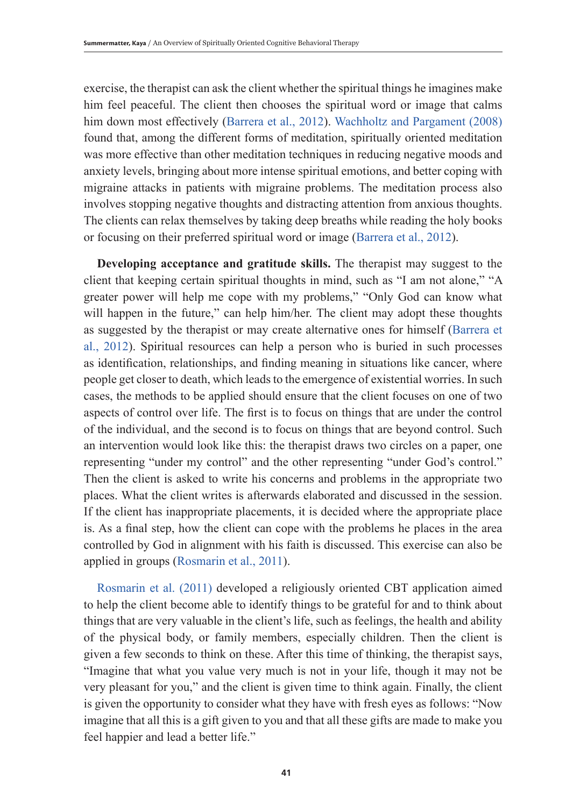exercise, the therapist can ask the client whether the spiritual things he imagines make him feel peaceful. The client then chooses the spiritual word or image that calms him down most effectively (Barrera et al., 2012). Wachholtz and Pargament (2008) found that, among the different forms of meditation, spiritually oriented meditation was more effective than other meditation techniques in reducing negative moods and anxiety levels, bringing about more intense spiritual emotions, and better coping with migraine attacks in patients with migraine problems. The meditation process also involves stopping negative thoughts and distracting attention from anxious thoughts. The clients can relax themselves by taking deep breaths while reading the holy books or focusing on their preferred spiritual word or image (Barrera et al., 2012).

**Developing acceptance and gratitude skills.** The therapist may suggest to the client that keeping certain spiritual thoughts in mind, such as "I am not alone," "A greater power will help me cope with my problems," "Only God can know what will happen in the future," can help him/her. The client may adopt these thoughts as suggested by the therapist or may create alternative ones for himself (Barrera et al., 2012). Spiritual resources can help a person who is buried in such processes as identification, relationships, and finding meaning in situations like cancer, where people get closer to death, which leads to the emergence of existential worries. In such cases, the methods to be applied should ensure that the client focuses on one of two aspects of control over life. The first is to focus on things that are under the control of the individual, and the second is to focus on things that are beyond control. Such an intervention would look like this: the therapist draws two circles on a paper, one representing "under my control" and the other representing "under God's control." Then the client is asked to write his concerns and problems in the appropriate two places. What the client writes is afterwards elaborated and discussed in the session. If the client has inappropriate placements, it is decided where the appropriate place is. As a final step, how the client can cope with the problems he places in the area controlled by God in alignment with his faith is discussed. This exercise can also be applied in groups (Rosmarin et al., 2011).

Rosmarin et al. (2011) developed a religiously oriented CBT application aimed to help the client become able to identify things to be grateful for and to think about things that are very valuable in the client's life, such as feelings, the health and ability of the physical body, or family members, especially children. Then the client is given a few seconds to think on these. After this time of thinking, the therapist says, "Imagine that what you value very much is not in your life, though it may not be very pleasant for you," and the client is given time to think again. Finally, the client is given the opportunity to consider what they have with fresh eyes as follows: "Now imagine that all this is a gift given to you and that all these gifts are made to make you feel happier and lead a better life."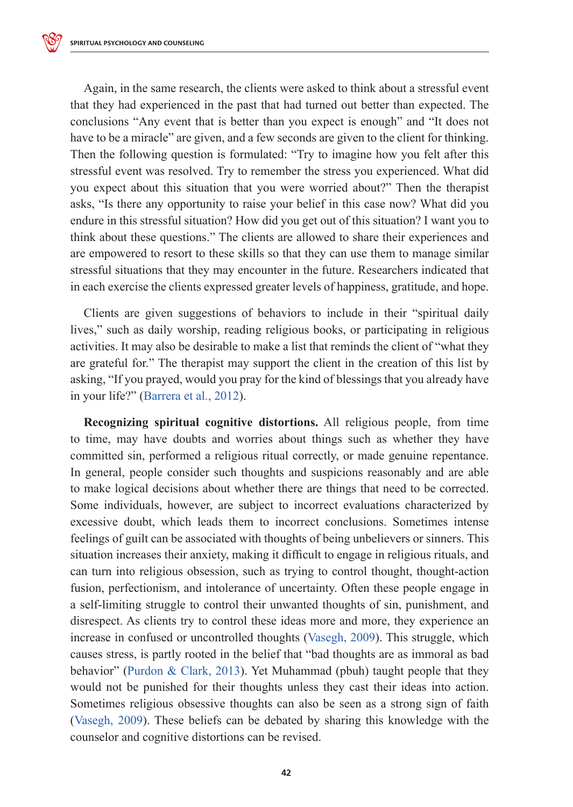Again, in the same research, the clients were asked to think about a stressful event that they had experienced in the past that had turned out better than expected. The conclusions "Any event that is better than you expect is enough" and "It does not have to be a miracle" are given, and a few seconds are given to the client for thinking. Then the following question is formulated: "Try to imagine how you felt after this stressful event was resolved. Try to remember the stress you experienced. What did you expect about this situation that you were worried about?" Then the therapist asks, "Is there any opportunity to raise your belief in this case now? What did you endure in this stressful situation? How did you get out of this situation? I want you to think about these questions." The clients are allowed to share their experiences and are empowered to resort to these skills so that they can use them to manage similar stressful situations that they may encounter in the future. Researchers indicated that in each exercise the clients expressed greater levels of happiness, gratitude, and hope.

Clients are given suggestions of behaviors to include in their "spiritual daily lives," such as daily worship, reading religious books, or participating in religious activities. It may also be desirable to make a list that reminds the client of "what they are grateful for." The therapist may support the client in the creation of this list by asking, "If you prayed, would you pray for the kind of blessings that you already have in your life?" (Barrera et al., 2012).

**Recognizing spiritual cognitive distortions.** All religious people, from time to time, may have doubts and worries about things such as whether they have committed sin, performed a religious ritual correctly, or made genuine repentance. In general, people consider such thoughts and suspicions reasonably and are able to make logical decisions about whether there are things that need to be corrected. Some individuals, however, are subject to incorrect evaluations characterized by excessive doubt, which leads them to incorrect conclusions. Sometimes intense feelings of guilt can be associated with thoughts of being unbelievers or sinners. This situation increases their anxiety, making it difficult to engage in religious rituals, and can turn into religious obsession, such as trying to control thought, thought-action fusion, perfectionism, and intolerance of uncertainty. Often these people engage in a self-limiting struggle to control their unwanted thoughts of sin, punishment, and disrespect. As clients try to control these ideas more and more, they experience an increase in confused or uncontrolled thoughts (Vasegh, 2009). This struggle, which causes stress, is partly rooted in the belief that "bad thoughts are as immoral as bad behavior" (Purdon & Clark, 2013). Yet Muhammad (pbuh) taught people that they would not be punished for their thoughts unless they cast their ideas into action. Sometimes religious obsessive thoughts can also be seen as a strong sign of faith (Vasegh, 2009). These beliefs can be debated by sharing this knowledge with the counselor and cognitive distortions can be revised.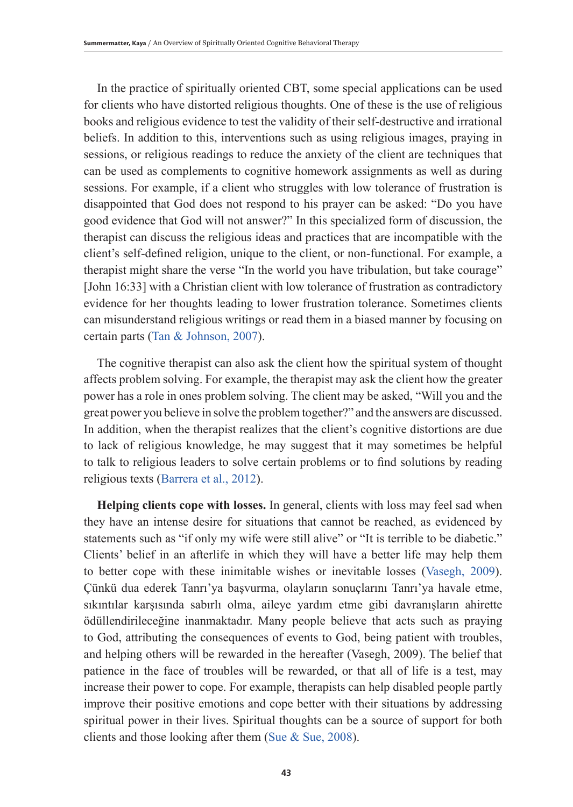In the practice of spiritually oriented CBT, some special applications can be used for clients who have distorted religious thoughts. One of these is the use of religious books and religious evidence to test the validity of their self-destructive and irrational beliefs. In addition to this, interventions such as using religious images, praying in sessions, or religious readings to reduce the anxiety of the client are techniques that can be used as complements to cognitive homework assignments as well as during sessions. For example, if a client who struggles with low tolerance of frustration is disappointed that God does not respond to his prayer can be asked: "Do you have good evidence that God will not answer?" In this specialized form of discussion, the therapist can discuss the religious ideas and practices that are incompatible with the client's self-defined religion, unique to the client, or non-functional. For example, a therapist might share the verse "In the world you have tribulation, but take courage" [John 16:33] with a Christian client with low tolerance of frustration as contradictory evidence for her thoughts leading to lower frustration tolerance. Sometimes clients can misunderstand religious writings or read them in a biased manner by focusing on certain parts (Tan & Johnson, 2007).

The cognitive therapist can also ask the client how the spiritual system of thought affects problem solving. For example, the therapist may ask the client how the greater power has a role in ones problem solving. The client may be asked, "Will you and the great power you believe in solve the problem together?" and the answers are discussed. In addition, when the therapist realizes that the client's cognitive distortions are due to lack of religious knowledge, he may suggest that it may sometimes be helpful to talk to religious leaders to solve certain problems or to find solutions by reading religious texts (Barrera et al., 2012).

**Helping clients cope with losses.** In general, clients with loss may feel sad when they have an intense desire for situations that cannot be reached, as evidenced by statements such as "if only my wife were still alive" or "It is terrible to be diabetic." Clients' belief in an afterlife in which they will have a better life may help them to better cope with these inimitable wishes or inevitable losses (Vasegh, 2009). Çünkü dua ederek Tanrı'ya başvurma, olayların sonuçlarını Tanrı'ya havale etme, sıkıntılar karşısında sabırlı olma, aileye yardım etme gibi davranışların ahirette ödüllendirileceğine inanmaktadır. Many people believe that acts such as praying to God, attributing the consequences of events to God, being patient with troubles, and helping others will be rewarded in the hereafter (Vasegh, 2009). The belief that patience in the face of troubles will be rewarded, or that all of life is a test, may increase their power to cope. For example, therapists can help disabled people partly improve their positive emotions and cope better with their situations by addressing spiritual power in their lives. Spiritual thoughts can be a source of support for both clients and those looking after them (Sue & Sue, 2008).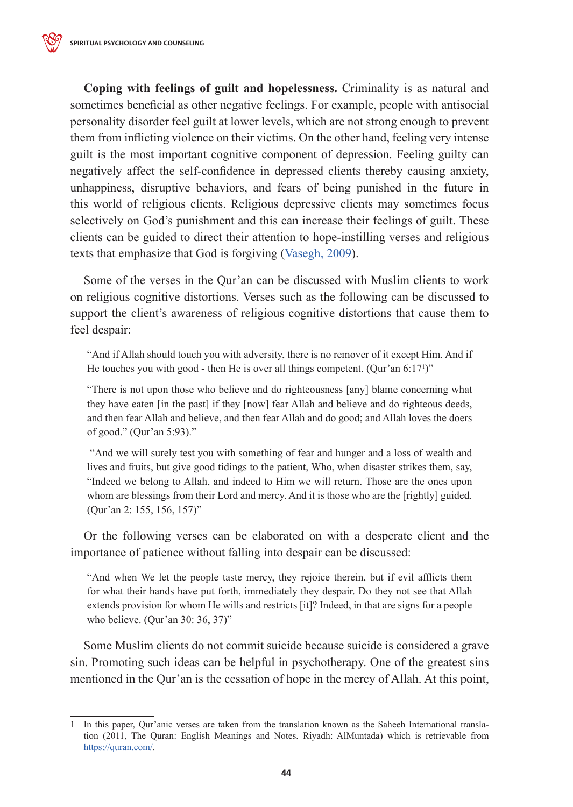**Coping with feelings of guilt and hopelessness.** Criminality is as natural and sometimes beneficial as other negative feelings. For example, people with antisocial personality disorder feel guilt at lower levels, which are not strong enough to prevent them from inflicting violence on their victims. On the other hand, feeling very intense guilt is the most important cognitive component of depression. Feeling guilty can negatively affect the self-confidence in depressed clients thereby causing anxiety, unhappiness, disruptive behaviors, and fears of being punished in the future in this world of religious clients. Religious depressive clients may sometimes focus selectively on God's punishment and this can increase their feelings of guilt. These clients can be guided to direct their attention to hope-instilling verses and religious texts that emphasize that God is forgiving (Vasegh, 2009).

Some of the verses in the Qur'an can be discussed with Muslim clients to work on religious cognitive distortions. Verses such as the following can be discussed to support the client's awareness of religious cognitive distortions that cause them to feel despair:

"And if Allah should touch you with adversity, there is no remover of it except Him. And if He touches you with good - then He is over all things competent. (Qur'an 6:17<sup>1</sup>)"

"There is not upon those who believe and do righteousness [any] blame concerning what they have eaten [in the past] if they [now] fear Allah and believe and do righteous deeds, and then fear Allah and believe, and then fear Allah and do good; and Allah loves the doers of good." (Qur'an 5:93)."

 "And we will surely test you with something of fear and hunger and a loss of wealth and lives and fruits, but give good tidings to the patient, Who, when disaster strikes them, say, "Indeed we belong to Allah, and indeed to Him we will return. Those are the ones upon whom are blessings from their Lord and mercy. And it is those who are the [rightly] guided. (Qur'an 2: 155, 156, 157)"

Or the following verses can be elaborated on with a desperate client and the importance of patience without falling into despair can be discussed:

"And when We let the people taste mercy, they rejoice therein, but if evil afflicts them for what their hands have put forth, immediately they despair. Do they not see that Allah extends provision for whom He wills and restricts [it]? Indeed, in that are signs for a people who believe. (Qur'an 30: 36, 37)"

Some Muslim clients do not commit suicide because suicide is considered a grave sin. Promoting such ideas can be helpful in psychotherapy. One of the greatest sins mentioned in the Qur'an is the cessation of hope in the mercy of Allah. At this point,

<sup>1</sup> In this paper, Qur'anic verses are taken from the translation known as the Saheeh International translation (2011, The Quran: English Meanings and Notes. Riyadh: AlMuntada) which is retrievable from https://quran.com/.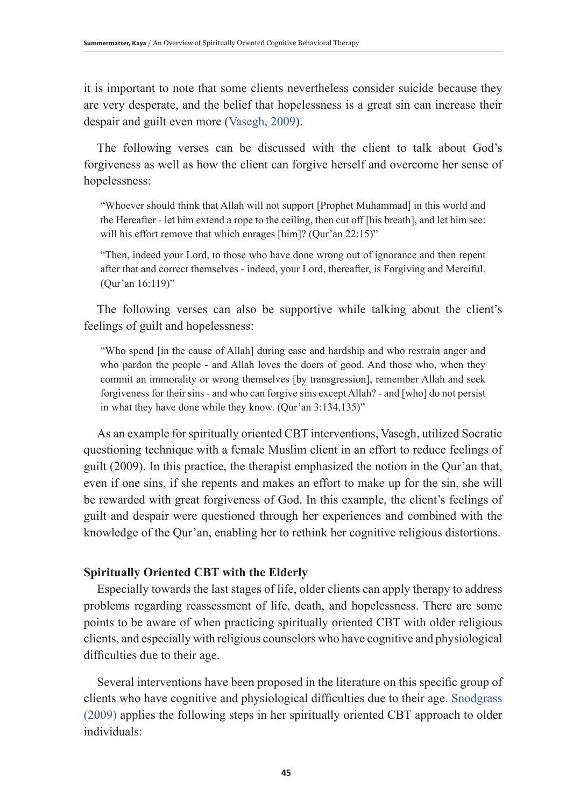it is important to note that some clients nevertheless consider suicide because they are very desperate, and the belief that hopelessness is a great sin can increase their despair and guilt even more (Vasegh, 2009).

The following verses can be discussed with the client to talk about God's forgiveness as well as how the client can forgive herself and overcome her sense of hopelessness:

"Whoever should think that Allah will not support [Prophet Muhammad] in this world and the Hereafter - let him extend a rope to the ceiling, then cut off [his breath], and let him see: will his effort remove that which enrages [him]? (Qur'an 22:15)"

"Then, indeed your Lord, to those who have done wrong out of ignorance and then repent after that and correct themselves - indeed, your Lord, thereafter, is Forgiving and Merciful. (Qur'an 16:119)"

The following verses can also be supportive while talking about the client's feelings of guilt and hopelessness:

"Who spend [in the cause of Allah] during ease and hardship and who restrain anger and who pardon the people - and Allah loves the doers of good. And those who, when they commit an immorality or wrong themselves [by transgression], remember Allah and seek forgiveness for their sins - and who can forgive sins except Allah? - and [who] do not persist in what they have done while they know. (Qur'an 3:134,135)"

As an example for spiritually oriented CBT interventions, Vasegh, utilized Socratic questioning technique with a female Muslim client in an effort to reduce feelings of guilt (2009). In this practice, the therapist emphasized the notion in the Qur'an that, even if one sins, if she repents and makes an effort to make up for the sin, she will be rewarded with great forgiveness of God. In this example, the client's feelings of guilt and despair were questioned through her experiences and combined with the knowledge of the Qur'an, enabling her to rethink her cognitive religious distortions.

# **Spiritually Oriented CBT with the Elderly**

Especially towards the last stages of life, older clients can apply therapy to address problems regarding reassessment of life, death, and hopelessness. There are some points to be aware of when practicing spiritually oriented CBT with older religious clients, and especially with religious counselors who have cognitive and physiological difficulties due to their age.

Several interventions have been proposed in the literature on this specific group of clients who have cognitive and physiological difficulties due to their age. Snodgrass (2009) applies the following steps in her spiritually oriented CBT approach to older individuals: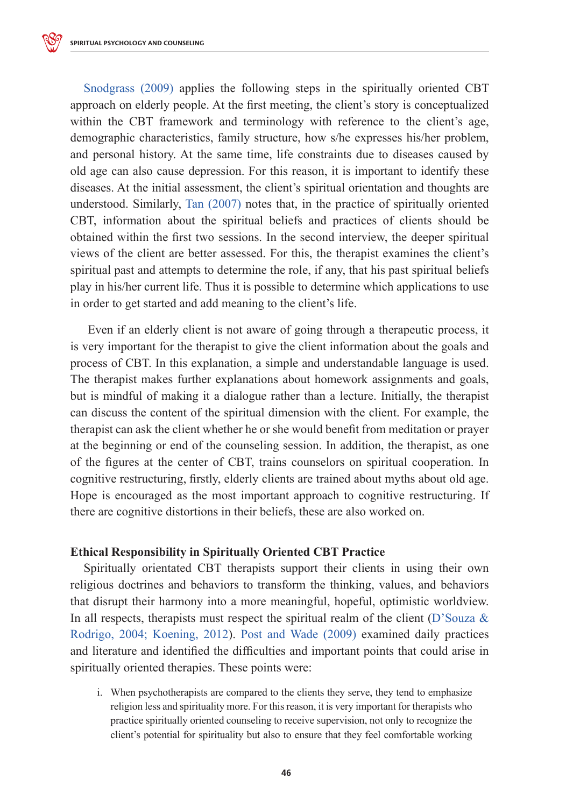Snodgrass (2009) applies the following steps in the spiritually oriented CBT approach on elderly people. At the first meeting, the client's story is conceptualized within the CBT framework and terminology with reference to the client's age, demographic characteristics, family structure, how s/he expresses his/her problem, and personal history. At the same time, life constraints due to diseases caused by old age can also cause depression. For this reason, it is important to identify these diseases. At the initial assessment, the client's spiritual orientation and thoughts are understood. Similarly, Tan (2007) notes that, in the practice of spiritually oriented CBT, information about the spiritual beliefs and practices of clients should be obtained within the first two sessions. In the second interview, the deeper spiritual views of the client are better assessed. For this, the therapist examines the client's spiritual past and attempts to determine the role, if any, that his past spiritual beliefs play in his/her current life. Thus it is possible to determine which applications to use in order to get started and add meaning to the client's life.

Even if an elderly client is not aware of going through a therapeutic process, it is very important for the therapist to give the client information about the goals and process of CBT. In this explanation, a simple and understandable language is used. The therapist makes further explanations about homework assignments and goals, but is mindful of making it a dialogue rather than a lecture. Initially, the therapist can discuss the content of the spiritual dimension with the client. For example, the therapist can ask the client whether he or she would benefit from meditation or prayer at the beginning or end of the counseling session. In addition, the therapist, as one of the figures at the center of CBT, trains counselors on spiritual cooperation. In cognitive restructuring, firstly, elderly clients are trained about myths about old age. Hope is encouraged as the most important approach to cognitive restructuring. If there are cognitive distortions in their beliefs, these are also worked on.

# **Ethical Responsibility in Spiritually Oriented CBT Practice**

Spiritually orientated CBT therapists support their clients in using their own religious doctrines and behaviors to transform the thinking, values, and behaviors that disrupt their harmony into a more meaningful, hopeful, optimistic worldview. In all respects, therapists must respect the spiritual realm of the client (D'Souza & Rodrigo, 2004; Koening, 2012). Post and Wade (2009) examined daily practices and literature and identified the difficulties and important points that could arise in spiritually oriented therapies. These points were:

i. When psychotherapists are compared to the clients they serve, they tend to emphasize religion less and spirituality more. For this reason, it is very important for therapists who practice spiritually oriented counseling to receive supervision, not only to recognize the client's potential for spirituality but also to ensure that they feel comfortable working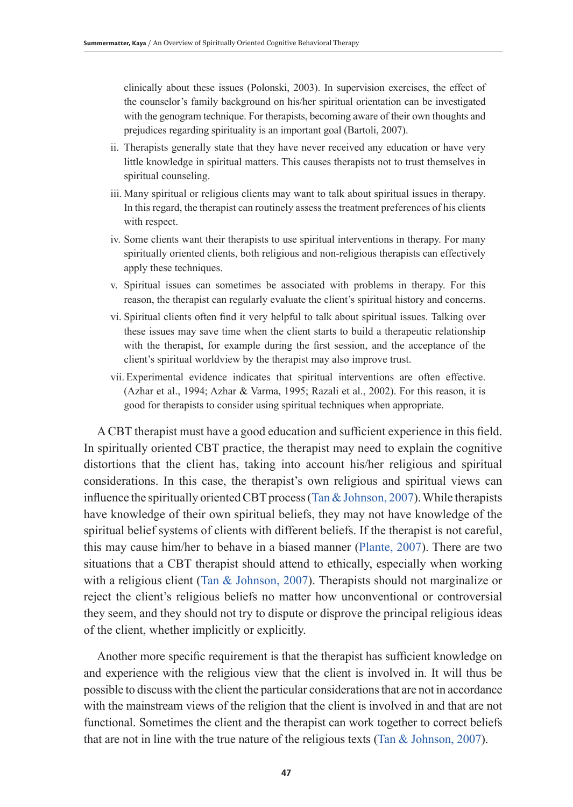clinically about these issues (Polonski, 2003). In supervision exercises, the effect of the counselor's family background on his/her spiritual orientation can be investigated with the genogram technique. For therapists, becoming aware of their own thoughts and prejudices regarding spirituality is an important goal (Bartoli, 2007).

- ii. Therapists generally state that they have never received any education or have very little knowledge in spiritual matters. This causes therapists not to trust themselves in spiritual counseling.
- iii. Many spiritual or religious clients may want to talk about spiritual issues in therapy. In this regard, the therapist can routinely assess the treatment preferences of his clients with respect.
- iv. Some clients want their therapists to use spiritual interventions in therapy. For many spiritually oriented clients, both religious and non-religious therapists can effectively apply these techniques.
- v. Spiritual issues can sometimes be associated with problems in therapy. For this reason, the therapist can regularly evaluate the client's spiritual history and concerns.
- vi. Spiritual clients often find it very helpful to talk about spiritual issues. Talking over these issues may save time when the client starts to build a therapeutic relationship with the therapist, for example during the first session, and the acceptance of the client's spiritual worldview by the therapist may also improve trust.
- vii. Experimental evidence indicates that spiritual interventions are often effective. (Azhar et al., 1994; Azhar & Varma, 1995; Razali et al., 2002). For this reason, it is good for therapists to consider using spiritual techniques when appropriate.

A CBT therapist must have a good education and sufficient experience in this field. In spiritually oriented CBT practice, the therapist may need to explain the cognitive distortions that the client has, taking into account his/her religious and spiritual considerations. In this case, the therapist's own religious and spiritual views can influence the spiritually oriented CBT process (Tan  $&$  Johnson, 2007). While therapists have knowledge of their own spiritual beliefs, they may not have knowledge of the spiritual belief systems of clients with different beliefs. If the therapist is not careful, this may cause him/her to behave in a biased manner (Plante, 2007). There are two situations that a CBT therapist should attend to ethically, especially when working with a religious client (Tan  $\&$  Johnson, 2007). Therapists should not marginalize or reject the client's religious beliefs no matter how unconventional or controversial they seem, and they should not try to dispute or disprove the principal religious ideas of the client, whether implicitly or explicitly.

Another more specific requirement is that the therapist has sufficient knowledge on and experience with the religious view that the client is involved in. It will thus be possible to discuss with the client the particular considerations that are not in accordance with the mainstream views of the religion that the client is involved in and that are not functional. Sometimes the client and the therapist can work together to correct beliefs that are not in line with the true nature of the religious texts (Tan  $&$  Johnson, 2007).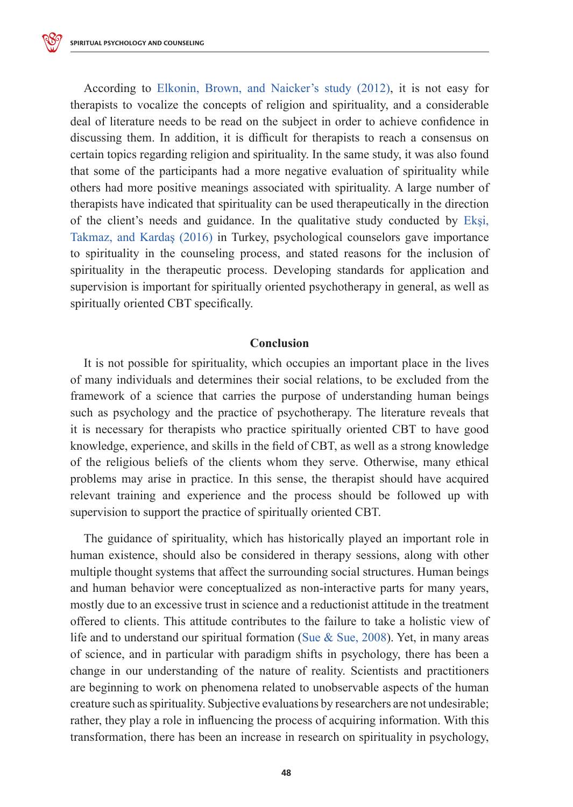According to Elkonin, Brown, and Naicker's study (2012), it is not easy for therapists to vocalize the concepts of religion and spirituality, and a considerable deal of literature needs to be read on the subject in order to achieve confidence in discussing them. In addition, it is difficult for therapists to reach a consensus on certain topics regarding religion and spirituality. In the same study, it was also found that some of the participants had a more negative evaluation of spirituality while others had more positive meanings associated with spirituality. A large number of therapists have indicated that spirituality can be used therapeutically in the direction of the client's needs and guidance. In the qualitative study conducted by Ekşi, Takmaz, and Kardaş (2016) in Turkey, psychological counselors gave importance to spirituality in the counseling process, and stated reasons for the inclusion of spirituality in the therapeutic process. Developing standards for application and supervision is important for spiritually oriented psychotherapy in general, as well as spiritually oriented CBT specifically.

## **Conclusion**

It is not possible for spirituality, which occupies an important place in the lives of many individuals and determines their social relations, to be excluded from the framework of a science that carries the purpose of understanding human beings such as psychology and the practice of psychotherapy. The literature reveals that it is necessary for therapists who practice spiritually oriented CBT to have good knowledge, experience, and skills in the field of CBT, as well as a strong knowledge of the religious beliefs of the clients whom they serve. Otherwise, many ethical problems may arise in practice. In this sense, the therapist should have acquired relevant training and experience and the process should be followed up with supervision to support the practice of spiritually oriented CBT.

The guidance of spirituality, which has historically played an important role in human existence, should also be considered in therapy sessions, along with other multiple thought systems that affect the surrounding social structures. Human beings and human behavior were conceptualized as non-interactive parts for many years, mostly due to an excessive trust in science and a reductionist attitude in the treatment offered to clients. This attitude contributes to the failure to take a holistic view of life and to understand our spiritual formation (Sue & Sue, 2008). Yet, in many areas of science, and in particular with paradigm shifts in psychology, there has been a change in our understanding of the nature of reality. Scientists and practitioners are beginning to work on phenomena related to unobservable aspects of the human creature such as spirituality. Subjective evaluations by researchers are not undesirable; rather, they play a role in influencing the process of acquiring information. With this transformation, there has been an increase in research on spirituality in psychology,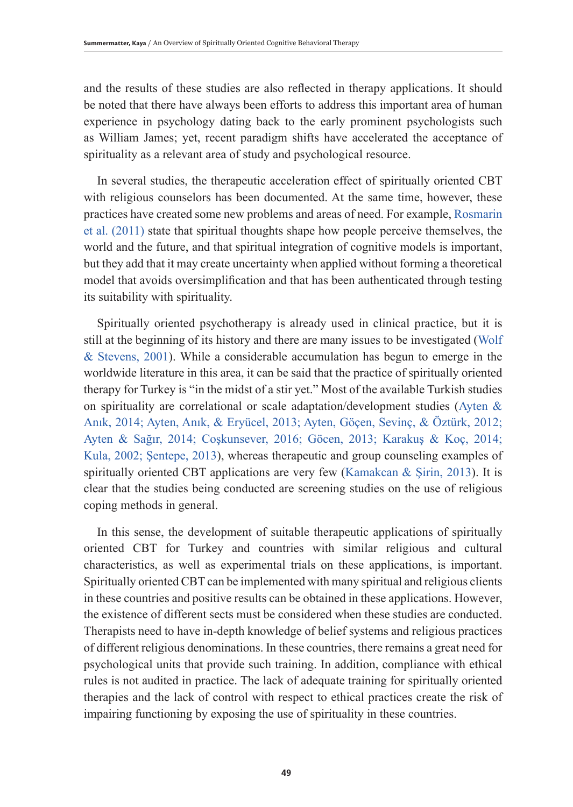and the results of these studies are also reflected in therapy applications. It should be noted that there have always been efforts to address this important area of human experience in psychology dating back to the early prominent psychologists such as William James; yet, recent paradigm shifts have accelerated the acceptance of spirituality as a relevant area of study and psychological resource.

In several studies, the therapeutic acceleration effect of spiritually oriented CBT with religious counselors has been documented. At the same time, however, these practices have created some new problems and areas of need. For example, Rosmarin et al. (2011) state that spiritual thoughts shape how people perceive themselves, the world and the future, and that spiritual integration of cognitive models is important, but they add that it may create uncertainty when applied without forming a theoretical model that avoids oversimplification and that has been authenticated through testing its suitability with spirituality.

Spiritually oriented psychotherapy is already used in clinical practice, but it is still at the beginning of its history and there are many issues to be investigated (Wolf & Stevens, 2001). While a considerable accumulation has begun to emerge in the worldwide literature in this area, it can be said that the practice of spiritually oriented therapy for Turkey is "in the midst of a stir yet." Most of the available Turkish studies on spirituality are correlational or scale adaptation/development studies (Ayten & Anık, 2014; Ayten, Anık, & Eryücel, 2013; Ayten, Göçen, Sevinç, & Öztürk, 2012; Ayten & Sağır, 2014; Coşkunsever, 2016; Göcen, 2013; Karakuş & Koç, 2014; Kula, 2002; Şentepe, 2013), whereas therapeutic and group counseling examples of spiritually oriented CBT applications are very few (Kamakcan & Şirin, 2013). It is clear that the studies being conducted are screening studies on the use of religious coping methods in general.

In this sense, the development of suitable therapeutic applications of spiritually oriented CBT for Turkey and countries with similar religious and cultural characteristics, as well as experimental trials on these applications, is important. Spiritually oriented CBT can be implemented with many spiritual and religious clients in these countries and positive results can be obtained in these applications. However, the existence of different sects must be considered when these studies are conducted. Therapists need to have in-depth knowledge of belief systems and religious practices of different religious denominations. In these countries, there remains a great need for psychological units that provide such training. In addition, compliance with ethical rules is not audited in practice. The lack of adequate training for spiritually oriented therapies and the lack of control with respect to ethical practices create the risk of impairing functioning by exposing the use of spirituality in these countries.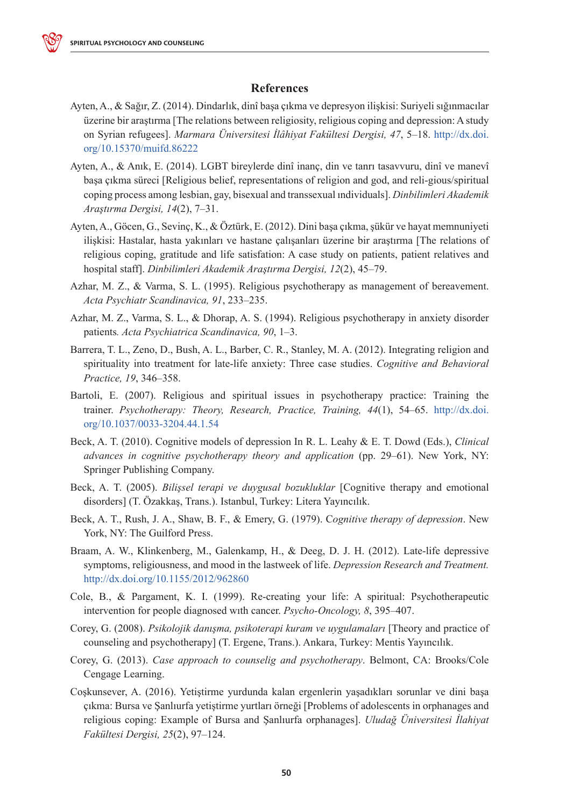

- Ayten, A., & Sağır, Z. (2014). Dindarlık, dinî başa çıkma ve depresyon ilişkisi: Suriyeli sığınmacılar üzerine bir araştırma [The relations between religiosity, religious coping and depression: A study on Syrian refugees]. *Marmara Üniversitesi İlâhiyat Fakültesi Dergisi, 47*, 5–18. http://dx.doi. org/10.15370/muifd.86222
- Ayten, A., & Anık, E. (2014). LGBT bireylerde dinî inanç, din ve tanrı tasavvuru, dinî ve manevî başa çıkma süreci [Religious belief, representations of religion and god, and reli-gious/spiritual coping process among lesbian, gay, bisexual and transsexual ındividuals]. *Dinbilimleri Akademik Araştırma Dergisi, 14*(2), 7–31.
- Ayten, A., Göcen, G., Sevinç, K., & Öztürk, E. (2012). Dini başa çıkma, şükür ve hayat memnuniyeti ilişkisi: Hastalar, hasta yakınları ve hastane çalışanları üzerine bir araştırma [The relations of religious coping, gratitude and life satisfation: A case study on patients, patient relatives and hospital staff]. *Dinbilimleri Akademik Araştırma Dergisi, 12*(2), 45–79.
- Azhar, M. Z., & Varma, S. L. (1995). Religious psychotherapy as management of bereavement. *Acta Psychiatr Scandinavica, 91*, 233–235.
- Azhar, M. Z., Varma, S. L., & Dhorap, A. S. (1994). Religious psychotherapy in anxiety disorder patients*. Acta Psychiatrica Scandinavica, 90*, 1–3.
- Barrera, T. L., Zeno, D., Bush, A. L., Barber, C. R., Stanley, M. A. (2012). Integrating religion and spirituality into treatment for late-life anxiety: Three case studies. *Cognitive and Behavioral Practice, 19*, 346–358.
- Bartoli, E. (2007). Religious and spiritual issues in psychotherapy practice: Training the trainer. *Psychotherapy: Theory, Research, Practice, Training, 44*(1), 54–65. http://dx.doi. org/10.1037/0033-3204.44.1.54
- Beck, A. T. (2010). Cognitive models of depression In R. L. Leahy & E. T. Dowd (Eds.), *Clinical advances in cognitive psychotherapy theory and application* (pp. 29–61). New York, NY: Springer Publishing Company.
- Beck, A. T. (2005). *Bilişsel terapi ve duygusal bozukluklar* [Cognitive therapy and emotional disorders] (T. Özakkaş, Trans.). Istanbul, Turkey: Litera Yayıncılık.
- Beck, A. T., Rush, J. A., Shaw, B. F., & Emery, G. (1979). C*ognitive therapy of depression*. New York, NY: The Guilford Press.
- Braam, A. W., Klinkenberg, M., Galenkamp, H., & Deeg, D. J. H. (2012). Late-life depressive symptoms, religiousness, and mood in the lastweek of life. *Depression Research and Treatment.* http://dx.doi.org/10.1155/2012/962860
- Cole, B., & Pargament, K. I. (1999). Re-creating your life: A spiritual: Psychotherapeutic intervention for people diagnosed wıth cancer. *Psycho-Oncology, 8*, 395–407.
- Corey, G. (2008). *Psikolojik danışma, psikoterapi kuram ve uygulamaları* [Theory and practice of counseling and psychotherapy] (T. Ergene, Trans.). Ankara, Turkey: Mentis Yayıncılık.
- Corey, G. (2013). *Case approach to counselig and psychotherapy*. Belmont, CA: Brooks/Cole Cengage Learning.
- Coşkunsever, A. (2016). Yetiştirme yurdunda kalan ergenlerin yaşadıkları sorunlar ve dini başa çıkma: Bursa ve Şanlıurfa yetiştirme yurtları örneği [Problems of adolescents in orphanages and religious coping: Example of Bursa and Şanlıurfa orphanages]. *Uludağ Üniversitesi İlahiyat Fakültesi Dergisi, 25*(2), 97–124.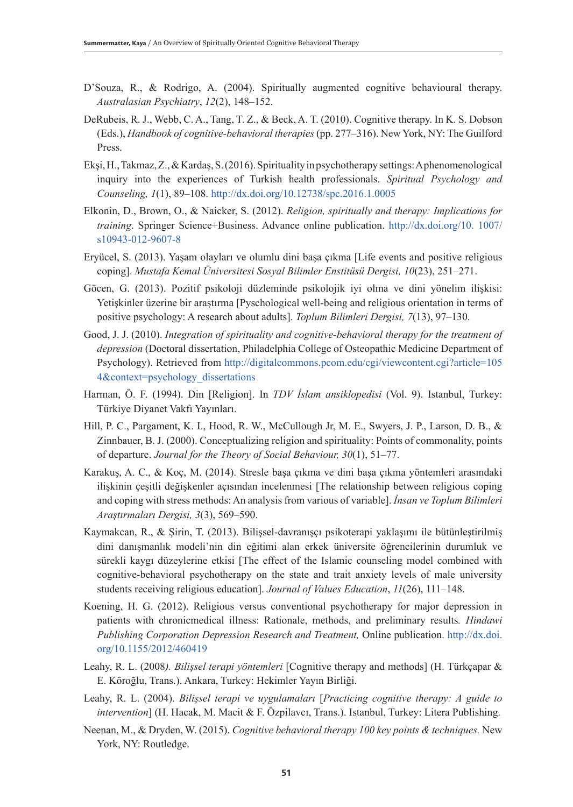- D'Souza, R., & Rodrigo, A. (2004). Spiritually augmented cognitive behavioural therapy. *Australasian Psychiatry*, *12*(2), 148–152.
- DeRubeis, R. J., Webb, C. A., Tang, T. Z., & Beck, A. T. (2010). Cognitive therapy. In K. S. Dobson (Eds.), *Handbook of cognitive-behavioral therapies* (pp. 277–316). New York, NY: The Guilford Press.
- Ekşi, H., Takmaz, Z., & Kardaş, S. (2016). Spirituality in psychotherapy settings: A phenomenological inquiry into the experiences of Turkish health professionals. *Spiritual Psychology and Counseling, 1*(1), 89–108. http://dx.doi.org/10.12738/spc.2016.1.0005
- Elkonin, D., Brown, O., & Naicker, S. (2012). *Religion, spiritually and therapy: Implications for training*. Springer Science+Business. Advance online publication. http://dx.doi.org/10. 1007/ s10943-012-9607-8
- Eryücel, S. (2013). Yaşam olayları ve olumlu dini başa çıkma [Life events and positive religious coping]. *Mustafa Kemal Üniversitesi Sosyal Bilimler Enstitüsü Dergisi, 10*(23), 251–271.
- Göcen, G. (2013). Pozitif psikoloji düzleminde psikolojik iyi olma ve dini yönelim ilişkisi: Yetişkinler üzerine bir araştırma [Pyschological well-being and religious orientation in terms of positive psychology: A research about adults]. *Toplum Bilimleri Dergisi, 7*(13), 97–130.
- Good, J. J. (2010). *Integration of spirituality and cognitive-behavioral therapy for the treatment of depression* (Doctoral dissertation, Philadelphia College of Osteopathic Medicine Department of Psychology). Retrieved from http://digitalcommons.pcom.edu/cgi/viewcontent.cgi?article=105 4&context=psychology\_dissertations
- Harman, Ö. F. (1994). Din [Religion]. In *TDV İslam ansiklopedisi* (Vol. 9). Istanbul, Turkey: Türkiye Diyanet Vakfı Yayınları.
- Hill, P. C., Pargament, K. I., Hood, R. W., McCullough Jr, M. E., Swyers, J. P., Larson, D. B., & Zinnbauer, B. J. (2000). Conceptualizing religion and spirituality: Points of commonality, points of departure. *Journal for the Theory of Social Behaviour, 30*(1), 51–77.
- Karakuş, A. C., & Koç, M. (2014). Stresle başa çıkma ve dini başa çıkma yöntemleri arasındaki ilişkinin çeşitli değişkenler açısından incelenmesi [The relationship between religious coping and coping with stress methods: An analysis from various of variable]. *İnsan ve Toplum Bilimleri Araştırmaları Dergisi, 3*(3), 569–590.
- Kaymakcan, R., & Şirin, T. (2013). Bilişsel-davranışçı psikoterapi yaklaşımı ile bütünleştirilmiş dini danışmanlık modeli'nin din eğitimi alan erkek üniversite öğrencilerinin durumluk ve sürekli kaygı düzeylerine etkisi [The effect of the Islamic counseling model combined with cognitive-behavioral psychotherapy on the state and trait anxiety levels of male university students receiving religious education]. *Journal of Values Education*, *11*(26), 111–148.
- Koening, H. G. (2012). Religious versus conventional psychotherapy for major depression in patients with chronicmedical illness: Rationale, methods, and preliminary results*. Hindawi Publishing Corporation Depression Research and Treatment,* Online publication. http://dx.doi. org/10.1155/2012/460419
- Leahy, R. L. (2008*). Bilişsel terapi yöntemleri* [Cognitive therapy and methods] (H. Türkçapar & E. Köroğlu, Trans.). Ankara, Turkey: Hekimler Yayın Birliği.
- Leahy, R. L. (2004). *Bilişsel terapi ve uygulamaları* [*Practicing cognitive therapy: A guide to intervention*] (H. Hacak, M. Macit & F. Özpilavcı, Trans.). Istanbul, Turkey: Litera Publishing.
- Neenan, M., & Dryden, W. (2015). *Cognitive behavioral therapy 100 key points & techniques.* New York, NY: Routledge.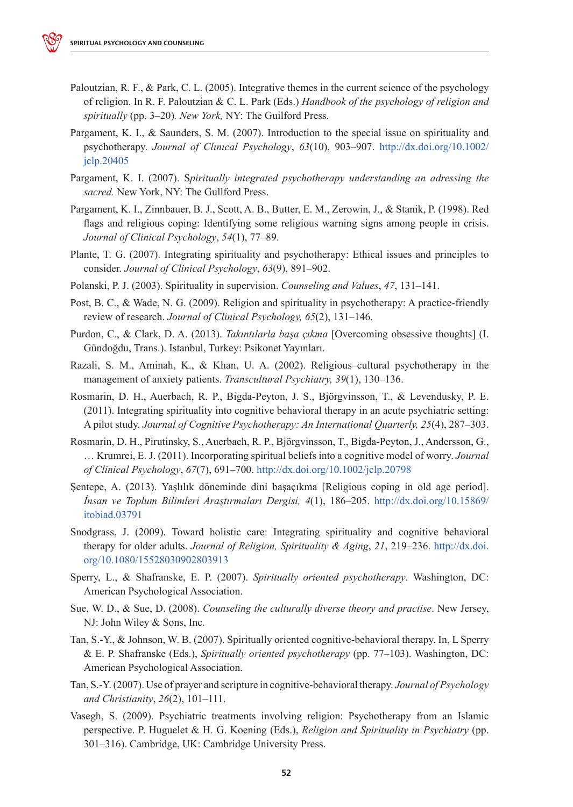- Paloutzian, R. F., & Park, C. L. (2005). Integrative themes in the current science of the psychology of religion. In R. F. Paloutzian & C. L. Park (Eds.) *Handbook of the psychology of religion and spiritually* (pp. 3–20)*. New York,* NY: The Guilford Press.
- Pargament, K. I., & Saunders, S. M. (2007). Introduction to the special issue on spirituality and psychotherapy. *Journal of Clınıcal Psychology*, *63*(10), 903–907. http://dx.doi.org/10.1002/ jclp.20405
- Pargament, K. I. (2007). S*piritually integrated psychotherapy understanding an adressing the sacred.* New York, NY: The Gullford Press.
- Pargament, K. I., Zinnbauer, B. J., Scott, A. B., Butter, E. M., Zerowin, J., & Stanik, P. (1998). Red flags and religious coping: Identifying some religious warning signs among people in crisis. *Journal of Clinical Psychology*, *54*(1), 77–89.
- Plante, T. G. (2007). Integrating spirituality and psychotherapy: Ethical issues and principles to consider. *Journal of Clinical Psychology*, *63*(9), 891–902.
- Polanski, P. J. (2003). Spirituality in supervision. *Counseling and Values*, *47*, 131–141.
- Post, B. C., & Wade, N. G. (2009). Religion and spirituality in psychotherapy: A practice-friendly review of research. *Journal of Clinical Psychology, 65*(2), 131–146.
- Purdon, C., & Clark, D. A. (2013). *Takıntılarla başa çıkma* [Overcoming obsessive thoughts] (I. Gündoğdu, Trans.). Istanbul, Turkey: Psikonet Yayınları.
- Razali, S. M., Aminah, K., & Khan, U. A. (2002). Religious–cultural psychotherapy in the management of anxiety patients. *Transcultural Psychiatry, 39*(1), 130–136.
- Rosmarin, D. H., Auerbach, R. P., Bigda-Peyton, J. S., Björgvinsson, T., & Levendusky, P. E. (2011). Integrating spirituality into cognitive behavioral therapy in an acute psychiatric setting: A pilot study. *Journal of Cognitive Psychotherapy: An International Quarterly, 25*(4), 287–303.
- Rosmarin, D. H., Pirutinsky, S., Auerbach, R. P., Björgvinsson, T., Bigda-Peyton, J., Andersson, G., … Krumrei, E. J. (2011). Incorporating spiritual beliefs into a cognitive model of worry. *Journal of Clinical Psychology*, *67*(7), 691–700. http://dx.doi.org/10.1002/jclp.20798
- Şentepe, A. (2013). Yaşlılık döneminde dini başaçıkma [Religious coping in old age period]. *İnsan ve Toplum Bilimleri Araştırmaları Dergisi, 4*(1), 186–205. http://dx.doi.org/10.15869/ itobiad.03791
- Snodgrass, J. (2009). Toward holistic care: Integrating spirituality and cognitive behavioral therapy for older adults. *Journal of Religion, Spirituality & Aging*, *21*, 219–236. http://dx.doi. org/10.1080/15528030902803913
- Sperry, L., & Shafranske, E. P. (2007). *Spiritually oriented psychotherapy*. Washington, DC: American Psychological Association.
- Sue, W. D., & Sue, D. (2008). *Counseling the culturally diverse theory and practise*. New Jersey, NJ: John Wiley & Sons, Inc.
- Tan, S.-Y., & Johnson, W. B. (2007). Spiritually oriented cognitive-behavioral therapy. In, L Sperry & E. P. Shafranske (Eds.), *Spiritually oriented psychotherapy* (pp. 77–103). Washington, DC: American Psychological Association.
- Tan, S.-Y. (2007). Use of prayer and scripture in cognitive-behavioral therapy. *Journal of Psychology and Christianity*, *26*(2), 101–111.
- Vasegh, S. (2009). Psychiatric treatments involving religion: Psychotherapy from an Islamic perspective. P. Huguelet & H. G. Koening (Eds.), *Religion and Spirituality in Psychiatry* (pp. 301–316). Cambridge, UK: Cambridge University Press.